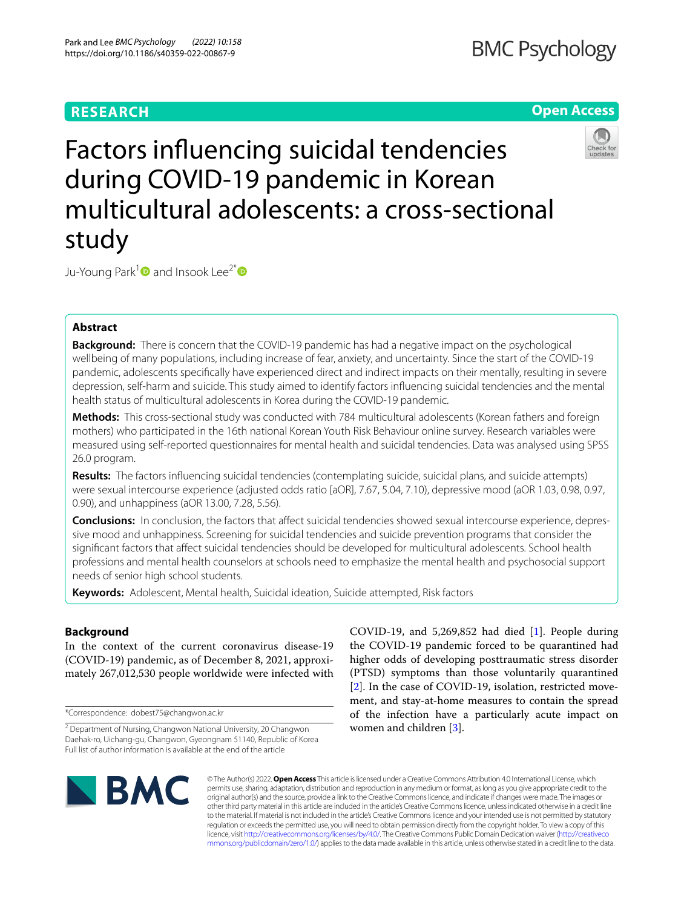# **RESEARCH**

# **Open Access**



Factors infuencing suicidal tendencies during COVID-19 pandemic in Korean multicultural adolescents: a cross-sectional study

Ju-Young Park<sup>1</sup> and Insook Lee<sup>2\*</sup>

## **Abstract**

**Background:** There is concern that the COVID-19 pandemic has had a negative impact on the psychological wellbeing of many populations, including increase of fear, anxiety, and uncertainty. Since the start of the COVID-19 pandemic, adolescents specifcally have experienced direct and indirect impacts on their mentally, resulting in severe depression, self-harm and suicide. This study aimed to identify factors infuencing suicidal tendencies and the mental health status of multicultural adolescents in Korea during the COVID-19 pandemic.

**Methods:** This cross-sectional study was conducted with 784 multicultural adolescents (Korean fathers and foreign mothers) who participated in the 16th national Korean Youth Risk Behaviour online survey. Research variables were measured using self-reported questionnaires for mental health and suicidal tendencies. Data was analysed using SPSS 26.0 program.

**Results:** The factors infuencing suicidal tendencies (contemplating suicide, suicidal plans, and suicide attempts) were sexual intercourse experience (adjusted odds ratio [aOR], 7.67, 5.04, 7.10), depressive mood (aOR 1.03, 0.98, 0.97, 0.90), and unhappiness (aOR 13.00, 7.28, 5.56).

**Conclusions:** In conclusion, the factors that affect suicidal tendencies showed sexual intercourse experience, depressive mood and unhappiness. Screening for suicidal tendencies and suicide prevention programs that consider the signifcant factors that afect suicidal tendencies should be developed for multicultural adolescents. School health professions and mental health counselors at schools need to emphasize the mental health and psychosocial support needs of senior high school students.

**Keywords:** Adolescent, Mental health, Suicidal ideation, Suicide attempted, Risk factors

### **Background**

In the context of the current coronavirus disease-19 (COVID-19) pandemic, as of December 8, 2021, approximately 267,012,530 people worldwide were infected with

\*Correspondence: dobest75@changwon.ac.kr

COVID-19, and 5,269,852 had died [[1\]](#page-11-0). People during the COVID-19 pandemic forced to be quarantined had higher odds of developing posttraumatic stress disorder (PTSD) symptoms than those voluntarily quarantined [[2\]](#page-11-1). In the case of COVID-19, isolation, restricted movement, and stay-at-home measures to contain the spread of the infection have a particularly acute impact on women and children [\[3](#page-11-2)].



© The Author(s) 2022. **Open Access** This article is licensed under a Creative Commons Attribution 4.0 International License, which permits use, sharing, adaptation, distribution and reproduction in any medium or format, as long as you give appropriate credit to the original author(s) and the source, provide a link to the Creative Commons licence, and indicate if changes were made. The images or other third party material in this article are included in the article's Creative Commons licence, unless indicated otherwise in a credit line to the material. If material is not included in the article's Creative Commons licence and your intended use is not permitted by statutory regulation or exceeds the permitted use, you will need to obtain permission directly from the copyright holder. To view a copy of this licence, visit [http://creativecommons.org/licenses/by/4.0/.](http://creativecommons.org/licenses/by/4.0/) The Creative Commons Public Domain Dedication waiver ([http://creativeco](http://creativecommons.org/publicdomain/zero/1.0/) [mmons.org/publicdomain/zero/1.0/](http://creativecommons.org/publicdomain/zero/1.0/)) applies to the data made available in this article, unless otherwise stated in a credit line to the data.

<sup>&</sup>lt;sup>2</sup> Department of Nursing, Changwon National University, 20 Changwon Daehak‑ro, Uichang‑gu, Changwon, Gyeongnam 51140, Republic of Korea Full list of author information is available at the end of the article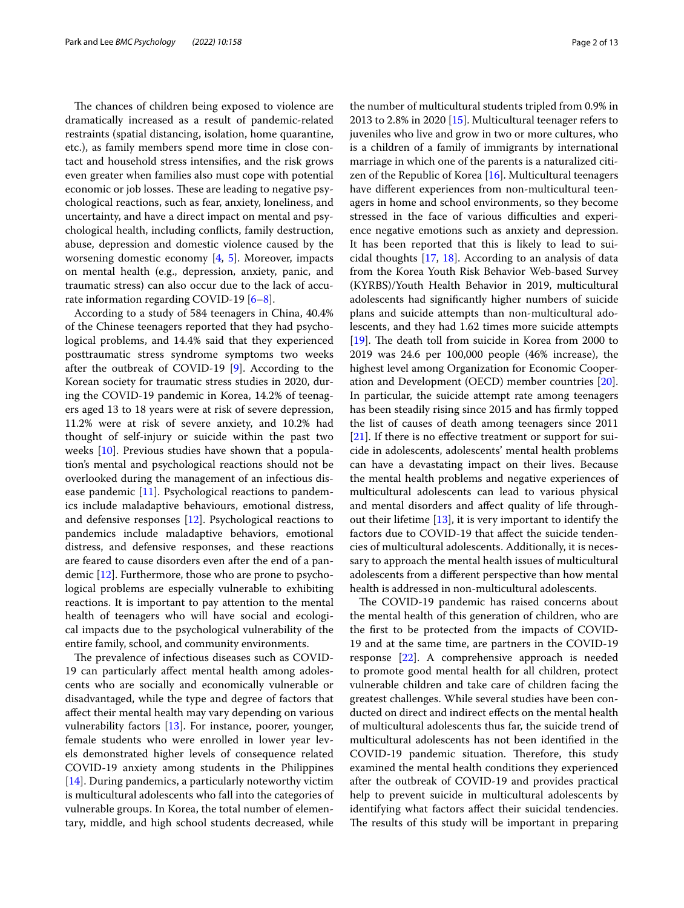The chances of children being exposed to violence are dramatically increased as a result of pandemic-related restraints (spatial distancing, isolation, home quarantine, etc.), as family members spend more time in close contact and household stress intensifes, and the risk grows even greater when families also must cope with potential economic or job losses. These are leading to negative psychological reactions, such as fear, anxiety, loneliness, and uncertainty, and have a direct impact on mental and psychological health, including conficts, family destruction, abuse, depression and domestic violence caused by the worsening domestic economy [[4,](#page-11-3) [5\]](#page-11-4). Moreover, impacts on mental health (e.g., depression, anxiety, panic, and traumatic stress) can also occur due to the lack of accurate information regarding COVID-19 [\[6](#page-11-5)[–8](#page-11-6)].

According to a study of 584 teenagers in China, 40.4% of the Chinese teenagers reported that they had psychological problems, and 14.4% said that they experienced posttraumatic stress syndrome symptoms two weeks after the outbreak of COVID-19 [\[9](#page-11-7)]. According to the Korean society for traumatic stress studies in 2020, during the COVID-19 pandemic in Korea, 14.2% of teenagers aged 13 to 18 years were at risk of severe depression, 11.2% were at risk of severe anxiety, and 10.2% had thought of self-injury or suicide within the past two weeks [\[10](#page-11-8)]. Previous studies have shown that a population's mental and psychological reactions should not be overlooked during the management of an infectious disease pandemic [\[11\]](#page-11-9). Psychological reactions to pandemics include maladaptive behaviours, emotional distress, and defensive responses [[12](#page-11-10)]. Psychological reactions to pandemics include maladaptive behaviors, emotional distress, and defensive responses, and these reactions are feared to cause disorders even after the end of a pandemic [\[12](#page-11-10)]. Furthermore, those who are prone to psychological problems are especially vulnerable to exhibiting reactions. It is important to pay attention to the mental health of teenagers who will have social and ecological impacts due to the psychological vulnerability of the entire family, school, and community environments.

The prevalence of infectious diseases such as COVID-19 can particularly afect mental health among adolescents who are socially and economically vulnerable or disadvantaged, while the type and degree of factors that afect their mental health may vary depending on various vulnerability factors [\[13](#page-11-11)]. For instance, poorer, younger, female students who were enrolled in lower year levels demonstrated higher levels of consequence related COVID-19 anxiety among students in the Philippines [[14\]](#page-11-12). During pandemics, a particularly noteworthy victim is multicultural adolescents who fall into the categories of vulnerable groups. In Korea, the total number of elementary, middle, and high school students decreased, while the number of multicultural students tripled from 0.9% in 2013 to 2.8% in 2020 [[15](#page-11-13)]. Multicultural teenager refers to juveniles who live and grow in two or more cultures, who is a children of a family of immigrants by international marriage in which one of the parents is a naturalized citizen of the Republic of Korea [\[16](#page-11-14)]. Multicultural teenagers have diferent experiences from non-multicultural teenagers in home and school environments, so they become stressed in the face of various difficulties and experience negative emotions such as anxiety and depression. It has been reported that this is likely to lead to suicidal thoughts [\[17](#page-12-0), [18](#page-12-1)]. According to an analysis of data from the Korea Youth Risk Behavior Web-based Survey (KYRBS)/Youth Health Behavior in 2019, multicultural adolescents had signifcantly higher numbers of suicide plans and suicide attempts than non-multicultural adolescents, and they had 1.62 times more suicide attempts  $[19]$  $[19]$ . The death toll from suicide in Korea from 2000 to 2019 was 24.6 per 100,000 people (46% increase), the highest level among Organization for Economic Cooperation and Development (OECD) member countries [\[20](#page-12-3)]. In particular, the suicide attempt rate among teenagers has been steadily rising since 2015 and has frmly topped the list of causes of death among teenagers since 2011 [[21\]](#page-12-4). If there is no effective treatment or support for suicide in adolescents, adolescents' mental health problems can have a devastating impact on their lives. Because the mental health problems and negative experiences of multicultural adolescents can lead to various physical and mental disorders and afect quality of life throughout their lifetime [\[13](#page-11-11)], it is very important to identify the factors due to COVID-19 that affect the suicide tendencies of multicultural adolescents. Additionally, it is necessary to approach the mental health issues of multicultural adolescents from a diferent perspective than how mental health is addressed in non-multicultural adolescents.

The COVID-19 pandemic has raised concerns about the mental health of this generation of children, who are the frst to be protected from the impacts of COVID-19 and at the same time, are partners in the COVID-19 response [\[22](#page-12-5)]. A comprehensive approach is needed to promote good mental health for all children, protect vulnerable children and take care of children facing the greatest challenges. While several studies have been conducted on direct and indirect efects on the mental health of multicultural adolescents thus far, the suicide trend of multicultural adolescents has not been identifed in the COVID-19 pandemic situation. Therefore, this study examined the mental health conditions they experienced after the outbreak of COVID-19 and provides practical help to prevent suicide in multicultural adolescents by identifying what factors afect their suicidal tendencies. The results of this study will be important in preparing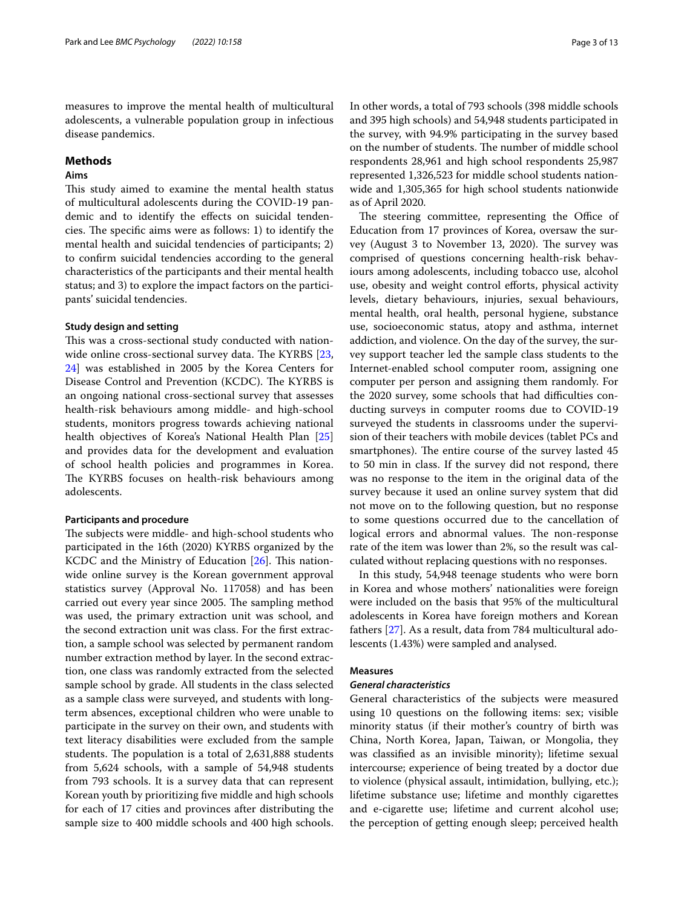measures to improve the mental health of multicultural adolescents, a vulnerable population group in infectious disease pandemics.

### **Methods**

### **Aims**

This study aimed to examine the mental health status of multicultural adolescents during the COVID-19 pandemic and to identify the efects on suicidal tendencies. The specific aims were as follows: 1) to identify the mental health and suicidal tendencies of participants; 2) to confrm suicidal tendencies according to the general characteristics of the participants and their mental health status; and 3) to explore the impact factors on the participants' suicidal tendencies.

### **Study design and setting**

This was a cross-sectional study conducted with nation-wide online cross-sectional survey data. The KYRBS [\[23](#page-12-6), [24\]](#page-12-7) was established in 2005 by the Korea Centers for Disease Control and Prevention (KCDC). The KYRBS is an ongoing national cross-sectional survey that assesses health-risk behaviours among middle- and high-school students, monitors progress towards achieving national health objectives of Korea's National Health Plan [[25](#page-12-8)] and provides data for the development and evaluation of school health policies and programmes in Korea. The KYRBS focuses on health-risk behaviours among adolescents.

### **Participants and procedure**

The subjects were middle- and high-school students who participated in the 16th (2020) KYRBS organized by the KCDC and the Ministry of Education  $[26]$ . This nationwide online survey is the Korean government approval statistics survey (Approval No. 117058) and has been carried out every year since 2005. The sampling method was used, the primary extraction unit was school, and the second extraction unit was class. For the frst extraction, a sample school was selected by permanent random number extraction method by layer. In the second extraction, one class was randomly extracted from the selected sample school by grade. All students in the class selected as a sample class were surveyed, and students with longterm absences, exceptional children who were unable to participate in the survey on their own, and students with text literacy disabilities were excluded from the sample students. The population is a total of 2,631,888 students from 5,624 schools, with a sample of 54,948 students from 793 schools. It is a survey data that can represent Korean youth by prioritizing fve middle and high schools for each of 17 cities and provinces after distributing the sample size to 400 middle schools and 400 high schools. In other words, a total of 793 schools (398 middle schools and 395 high schools) and 54,948 students participated in the survey, with 94.9% participating in the survey based on the number of students. The number of middle school respondents 28,961 and high school respondents 25,987 represented 1,326,523 for middle school students nationwide and 1,305,365 for high school students nationwide as of April 2020.

The steering committee, representing the Office of Education from 17 provinces of Korea, oversaw the survey (August 3 to November 13, 2020). The survey was comprised of questions concerning health-risk behaviours among adolescents, including tobacco use, alcohol use, obesity and weight control efforts, physical activity levels, dietary behaviours, injuries, sexual behaviours, mental health, oral health, personal hygiene, substance use, socioeconomic status, atopy and asthma, internet addiction, and violence. On the day of the survey, the survey support teacher led the sample class students to the Internet-enabled school computer room, assigning one computer per person and assigning them randomly. For the 2020 survey, some schools that had difficulties conducting surveys in computer rooms due to COVID-19 surveyed the students in classrooms under the supervision of their teachers with mobile devices (tablet PCs and smartphones). The entire course of the survey lasted 45 to 50 min in class. If the survey did not respond, there was no response to the item in the original data of the survey because it used an online survey system that did not move on to the following question, but no response to some questions occurred due to the cancellation of logical errors and abnormal values. The non-response rate of the item was lower than 2%, so the result was calculated without replacing questions with no responses.

In this study, 54,948 teenage students who were born in Korea and whose mothers' nationalities were foreign were included on the basis that 95% of the multicultural adolescents in Korea have foreign mothers and Korean fathers [\[27](#page-12-10)]. As a result, data from 784 multicultural adolescents (1.43%) were sampled and analysed.

### **Measures**

### *General characteristics*

General characteristics of the subjects were measured using 10 questions on the following items: sex; visible minority status (if their mother's country of birth was China, North Korea, Japan, Taiwan, or Mongolia, they was classifed as an invisible minority); lifetime sexual intercourse; experience of being treated by a doctor due to violence (physical assault, intimidation, bullying, etc.); lifetime substance use; lifetime and monthly cigarettes and e-cigarette use; lifetime and current alcohol use; the perception of getting enough sleep; perceived health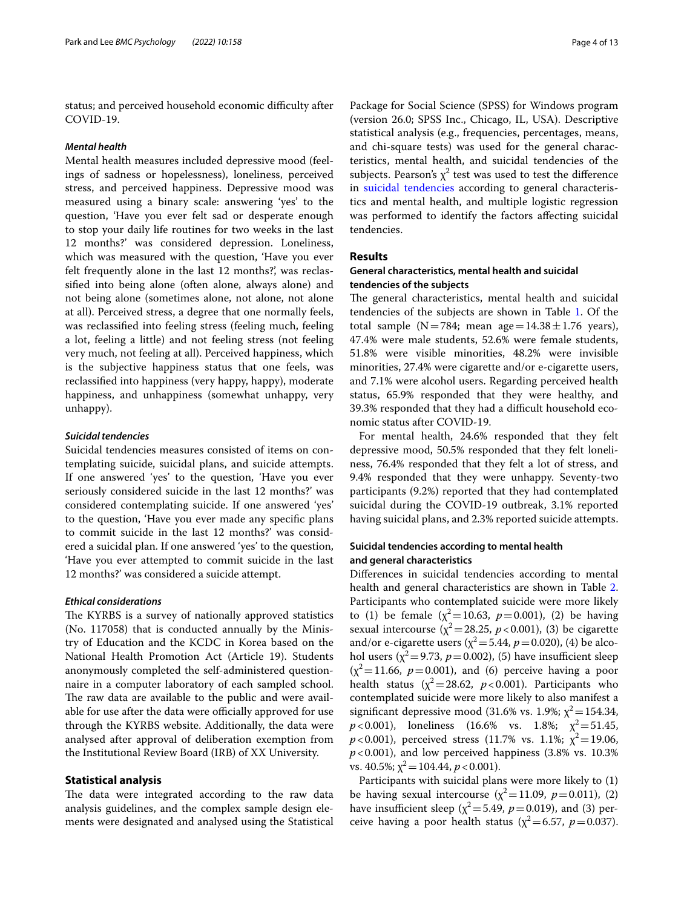status; and perceived household economic difficulty after COVID-19.

### *Mental health*

Mental health measures included depressive mood (feelings of sadness or hopelessness), loneliness, perceived stress, and perceived happiness. Depressive mood was measured using a binary scale: answering 'yes' to the question, 'Have you ever felt sad or desperate enough to stop your daily life routines for two weeks in the last 12 months?' was considered depression. Loneliness, which was measured with the question, 'Have you ever felt frequently alone in the last 12 months?', was reclassifed into being alone (often alone, always alone) and not being alone (sometimes alone, not alone, not alone at all). Perceived stress, a degree that one normally feels, was reclassifed into feeling stress (feeling much, feeling a lot, feeling a little) and not feeling stress (not feeling very much, not feeling at all). Perceived happiness, which is the subjective happiness status that one feels, was reclassifed into happiness (very happy, happy), moderate happiness, and unhappiness (somewhat unhappy, very unhappy).

### *Suicidal tendencies*

Suicidal tendencies measures consisted of items on contemplating suicide, suicidal plans, and suicide attempts. If one answered 'yes' to the question, 'Have you ever seriously considered suicide in the last 12 months?' was considered contemplating suicide. If one answered 'yes' to the question, 'Have you ever made any specifc plans to commit suicide in the last 12 months?' was considered a suicidal plan. If one answered 'yes' to the question, 'Have you ever attempted to commit suicide in the last 12 months?' was considered a suicide attempt.

### *Ethical considerations*

The KYRBS is a survey of nationally approved statistics (No. 117058) that is conducted annually by the Ministry of Education and the KCDC in Korea based on the National Health Promotion Act (Article 19). Students anonymously completed the self-administered questionnaire in a computer laboratory of each sampled school. The raw data are available to the public and were available for use after the data were officially approved for use through the KYRBS website. Additionally, the data were analysed after approval of deliberation exemption from the Institutional Review Board (IRB) of XX University.

### <span id="page-3-0"></span>**Statistical analysis**

The data were integrated according to the raw data analysis guidelines, and the complex sample design elements were designated and analysed using the Statistical

Package for Social Science (SPSS) for Windows program (version 26.0; SPSS Inc., Chicago, IL, USA). Descriptive statistical analysis (e.g., frequencies, percentages, means, and chi-square tests) was used for the general characteristics, mental health, and suicidal tendencies of the subjects. Pearson's  $\chi^2$  test was used to test the difference in [suicidal tendencies](#page-3-0) according to general characteristics and mental health, and multiple logistic regression was performed to identify the factors afecting suicidal tendencies.

### **Results**

### **General characteristics, mental health and suicidal tendencies of the subjects**

The general characteristics, mental health and suicidal tendencies of the subjects are shown in Table [1.](#page-4-0) Of the total sample (N=784; mean age=14.38 $\pm$ 1.76 years), 47.4% were male students, 52.6% were female students, 51.8% were visible minorities, 48.2% were invisible minorities, 27.4% were cigarette and/or e-cigarette users, and 7.1% were alcohol users. Regarding perceived health status, 65.9% responded that they were healthy, and 39.3% responded that they had a difficult household economic status after COVID-19.

For mental health, 24.6% responded that they felt depressive mood, 50.5% responded that they felt loneliness, 76.4% responded that they felt a lot of stress, and 9.4% responded that they were unhappy. Seventy-two participants (9.2%) reported that they had contemplated suicidal during the COVID-19 outbreak, 3.1% reported having suicidal plans, and 2.3% reported suicide attempts.

### **Suicidal tendencies according to mental health and general characteristics**

Diferences in suicidal tendencies according to mental health and general characteristics are shown in Table [2](#page-5-0). Participants who contemplated suicide were more likely to (1) be female  $(\chi^2 = 10.63, p = 0.001)$ , (2) be having sexual intercourse ( $\chi^2$ =28.25, *p* < 0.001), (3) be cigarette and/or e-cigarette users ( $\chi^2$  = 5.44,  $p$  = 0.020), (4) be alcohol users ( $\chi^2$ =9.73, *p*=0.002), (5) have insufficient sleep  $(x^2=11.66, p=0.001)$ , and (6) perceive having a poor health status ( $\chi^2$ =28.62, *p*<0.001). Participants who contemplated suicide were more likely to also manifest a significant depressive mood (31.6% vs. 1.9%;  $\chi^2$  = 154.34,  $p$ <0.001), loneliness (16.6% vs. 1.8%;  $\chi^2$  = 51.45,  $p$ <0.001), perceived stress (11.7% vs. 1.1%;  $\chi^2$ =19.06,  $p$ <0.001), and low perceived happiness (3.8% vs. 10.3%) vs. 40.5%;  $\chi^2$  = 104.44,  $p < 0.001$ ).

Participants with suicidal plans were more likely to (1) be having sexual intercourse ( $\chi^2$ =11.09, *p*=0.011), (2) have insufficient sleep ( $\chi^2$ =5.49, *p*=0.019), and (3) perceive having a poor health status ( $\chi^2$ =6.57, *p*=0.037).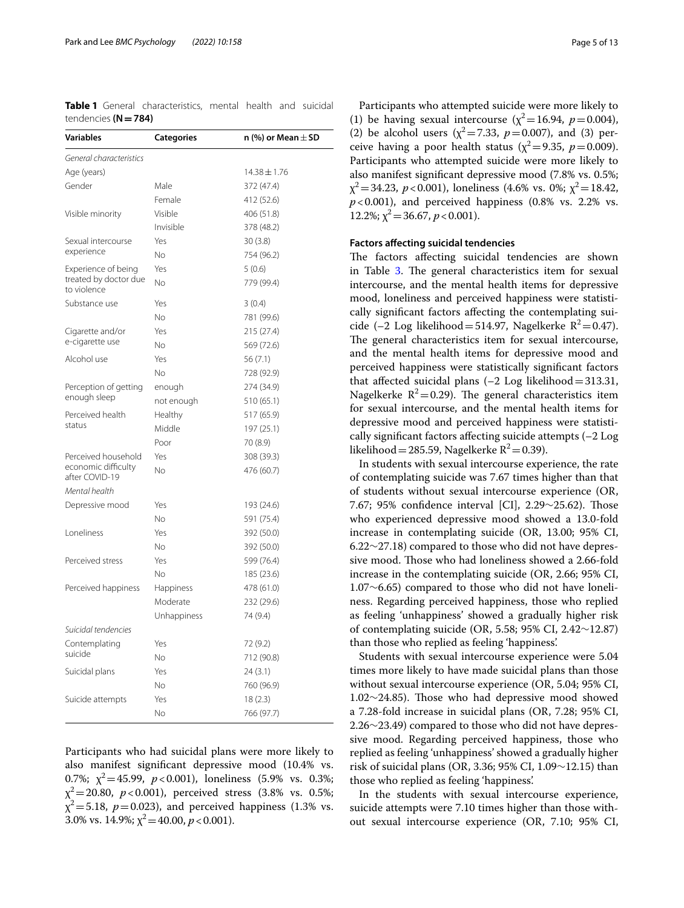<span id="page-4-0"></span>**Table 1** General characteristics, mental health and suicidal tendencies **(N=784)**

| Variables                             | Categories  | n (%) or Mean $\pm$ SD |
|---------------------------------------|-------------|------------------------|
| General characteristics               |             |                        |
| Age (years)                           |             | $14.38 \pm 1.76$       |
| Gender                                | Male        | 372 (47.4)             |
|                                       | Female      | 412 (52.6)             |
| Visible minority                      | Visible     | 406 (51.8)             |
|                                       | Invisible   | 378 (48.2)             |
| Sexual intercourse                    | Yes         | 30(3.8)                |
| experience                            | No          | 754 (96.2)             |
| Experience of being                   | Yes         | 5(0.6)                 |
| treated by doctor due<br>to violence  | Νo          | 779 (99.4)             |
| Substance use                         | Yes         | 3(0.4)                 |
|                                       | No          | 781 (99.6)             |
| Cigarette and/or                      | Yes         | 215 (27.4)             |
| e-cigarette use                       | No          | 569 (72.6)             |
| Alcohol use                           | Yes         | 56 (7.1)               |
|                                       | No          | 728 (92.9)             |
| Perception of getting                 | enough      | 274 (34.9)             |
| enough sleep                          | not enough  | 510 (65.1)             |
| Perceived health                      | Healthy     | 517 (65.9)             |
| status                                | Middle      | 197 (25.1)             |
|                                       | Poor        | 70 (8.9)               |
| Perceived household                   | Yes         | 308 (39.3)             |
| economic difficulty<br>after COVID-19 | No          | 476 (60.7)             |
| Mental health                         |             |                        |
| Depressive mood                       | Yes         | 193 (24.6)             |
|                                       | No          | 591 (75.4)             |
| Loneliness                            | Yes         | 392 (50.0)             |
|                                       | No          | 392 (50.0)             |
| Perceived stress                      | Yes         | 599 (76.4)             |
|                                       | No          | 185 (23.6)             |
| Perceived happiness                   | Happiness   | 478 (61.0)             |
|                                       | Moderate    | 232 (29.6)             |
|                                       | Unhappiness | 74 (9.4)               |
| Suicidal tendencies                   |             |                        |
| Contemplating                         | Yes         | 72 (9.2)               |
| suicide                               | Νo          | 712 (90.8)             |
| Suicidal plans                        | Yes         | 24 (3.1)               |
|                                       | No          | 760 (96.9)             |
| Suicide attempts                      | Yes         | 18(2.3)                |
|                                       | No          | 766 (97.7)             |

Participants who had suicidal plans were more likely to also manifest signifcant depressive mood (10.4% vs. 0.7%;  $\chi^2$  = 45.99,  $p$  < 0.001), loneliness (5.9% vs. 0.3%;  $\chi^2$  = 20.80, *p* < 0.001), perceived stress (3.8% vs. 0.5%;  $\chi^2$ =5.18, *p*=0.023), and perceived happiness (1.3% vs. 3.0% vs. 14.9%;  $\chi^2$  = 40.00,  $p$  < 0.001).

Participants who attempted suicide were more likely to (1) be having sexual intercourse ( $\chi^2$  = 16.94, *p* = 0.004), (2) be alcohol users ( $\chi^2$ =7.33, *p*=0.007), and (3) perceive having a poor health status ( $\chi^2$ =9.35, *p*=0.009). Participants who attempted suicide were more likely to also manifest signifcant depressive mood (7.8% vs. 0.5%;  $\chi^2$  = 34.23, *p* < 0.001), loneliness (4.6% vs. 0%;  $\chi^2$  = 18.42,  $p$ <0.001), and perceived happiness (0.8% vs. 2.2% vs. 12.2%;  $\chi^2$  = 36.67,  $p < 0.001$ ).

### **Factors afecting suicidal tendencies**

The factors affecting suicidal tendencies are shown in Table [3](#page-8-0). The general characteristics item for sexual intercourse, and the mental health items for depressive mood, loneliness and perceived happiness were statistically signifcant factors afecting the contemplating suicide (–2 Log likelihood=514.97, Nagelkerke  $R^2$ =0.47). The general characteristics item for sexual intercourse, and the mental health items for depressive mood and perceived happiness were statistically signifcant factors that affected suicidal plans  $(-2 \text{ Log likelihood}=313.31,$ Nagelkerke  $R^2$ =0.29). The general characteristics item for sexual intercourse, and the mental health items for depressive mood and perceived happiness were statistically signifcant factors afecting suicide attempts (–2 Log likelihood = 285.59, Nagelkerke  $R^2$  = 0.39).

In students with sexual intercourse experience, the rate of contemplating suicide was 7.67 times higher than that of students without sexual intercourse experience (OR, 7.67; 95% confidence interval [CI], 2.29∼25.62). Those who experienced depressive mood showed a 13.0-fold increase in contemplating suicide (OR, 13.00; 95% CI, 6.22∼27.18) compared to those who did not have depressive mood. Those who had loneliness showed a 2.66-fold increase in the contemplating suicide (OR, 2.66; 95% CI, 1.07∼6.65) compared to those who did not have loneliness. Regarding perceived happiness, those who replied as feeling 'unhappiness' showed a gradually higher risk of contemplating suicide (OR, 5.58; 95% CI, 2.42∼12.87) than those who replied as feeling 'happiness'.

Students with sexual intercourse experience were 5.04 times more likely to have made suicidal plans than those without sexual intercourse experience (OR, 5.04; 95% CI, 1.02∼24.85). Those who had depressive mood showed a 7.28-fold increase in suicidal plans (OR, 7.28; 95% CI, 2.26∼23.49) compared to those who did not have depressive mood. Regarding perceived happiness, those who replied as feeling 'unhappiness' showed a gradually higher risk of suicidal plans (OR, 3.36; 95% CI, 1.09∼12.15) than those who replied as feeling 'happiness'.

In the students with sexual intercourse experience, suicide attempts were 7.10 times higher than those without sexual intercourse experience (OR, 7.10; 95% CI,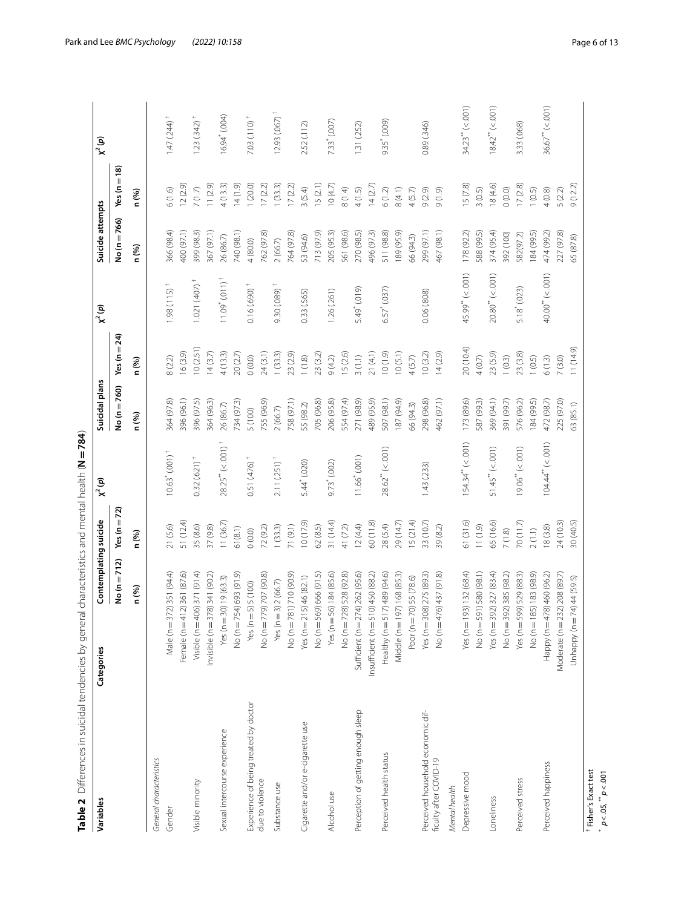<span id="page-5-0"></span>

| ていこく こうこうこう                         | $\vdots$              |
|-------------------------------------|-----------------------|
| i<br>$\overline{\phantom{a}}$<br>i  |                       |
|                                     | ֡֡֡֡֡֡֡֡              |
| i<br>1<br>1<br>)<br>2<br>į          |                       |
|                                     |                       |
| i<br>S<br>i<br>S<br>i<br>l<br>ble 2 | )<br>)<br>)<br>)<br>) |

| Male ( $n = 37$<br>Experience of being treated by doctor<br>Sexual intercourse experience<br>General characteristics<br>due to violence<br>Visible minority<br>Gender | No (n = 712)<br>2) 351 (94.4)<br>Female (n = 412) 361 (87.6)<br>Visible (n = 406) 371 (91.4)<br>Invisible ( $n = 378$ ) 341 (90.2)<br>No (n = 754) 693 (91.9)<br>No (n = 779) 707 (90.8)<br>Yes ( $n = 30$ ) 19 (63.3)<br>3) 2 (66.7)<br>Yes $(n = 5) 5 (100)$<br>n (%) | Yes (n $=$ 72)<br>n (%) |                                 | No (n = 760) | Yes ( $n = 24$ ) |                            | No (n = 766) | $Yes(n=18)$ |                           |
|-----------------------------------------------------------------------------------------------------------------------------------------------------------------------|-------------------------------------------------------------------------------------------------------------------------------------------------------------------------------------------------------------------------------------------------------------------------|-------------------------|---------------------------------|--------------|------------------|----------------------------|--------------|-------------|---------------------------|
|                                                                                                                                                                       |                                                                                                                                                                                                                                                                         |                         |                                 |              |                  |                            |              |             |                           |
|                                                                                                                                                                       |                                                                                                                                                                                                                                                                         |                         |                                 | n (%)        | n (%)            |                            | n (%)        | n (%)       |                           |
|                                                                                                                                                                       |                                                                                                                                                                                                                                                                         |                         |                                 |              |                  |                            |              |             |                           |
|                                                                                                                                                                       |                                                                                                                                                                                                                                                                         | 21(5.6)                 | $10.63$ " (.001) <sup>+</sup>   | 364 (97.8)   | 8(2.2)           | $1.98(0.115)^{+}$          | 366 (98.4)   | 6(1.6)      | $1.47(244)$ <sup>+</sup>  |
|                                                                                                                                                                       |                                                                                                                                                                                                                                                                         | 51 (12.4)               |                                 | 396 (96.1)   | 16(3.9)          |                            | 400 (97.1)   | 12(2.9)     |                           |
|                                                                                                                                                                       |                                                                                                                                                                                                                                                                         | 35 (8.6)                | $0.32(621)^{+}$                 | 396 (97.5)   | 10(2.51)         | $1.021(407)^+$             | 399 (98.3)   | $7(1.7)$    | $1.23(.342)^{+}$          |
|                                                                                                                                                                       |                                                                                                                                                                                                                                                                         | 37(9.8)                 |                                 | 364 (96.3)   | 14(3.7)          |                            | 367 (97.1)   | 11(2.9)     |                           |
|                                                                                                                                                                       |                                                                                                                                                                                                                                                                         | 11(36.7)                | $28.25'''$ (<.001) <sup>+</sup> | 26 (86.7)    | 4(13.3)          | $11.09''(011)^+$           | 26 (86.7)    | 4(13.3)     | 16.94 <sup>*</sup> (.004) |
|                                                                                                                                                                       |                                                                                                                                                                                                                                                                         | 61(8.1)                 |                                 | 734 (97.3)   | 20(2.7)          |                            | 740 (98.1)   | 14(1.9)     |                           |
|                                                                                                                                                                       |                                                                                                                                                                                                                                                                         | $0(0.0)$                | $0.51(476)^+$                   | 5 (100)      | (0.0)0           | $0.16$ (.690) <sup>+</sup> | 4 (80.0)     | 1(20.0)     | $7.03(110)^+$             |
|                                                                                                                                                                       |                                                                                                                                                                                                                                                                         | 72 (9.2)                |                                 | 755 (96.9)   | 24 (3.1)         |                            | 762 (97.8)   | 17(2.2)     |                           |
| $Yes(n = 3)$<br>Substance use                                                                                                                                         |                                                                                                                                                                                                                                                                         | 1(33.3)                 | $2.11(.251)^{+}$                | 2(66.7)      | 1(33.3)          | $9.30(089)^{+}$            | 2(66.7)      | 1(33.3)     | 12.93 (.067)              |
|                                                                                                                                                                       | No (n = 781) 710 (90.9)                                                                                                                                                                                                                                                 | 71 (9.1)                |                                 | 758 (97.1)   | 23 (2.9)         |                            | 764 (97.8)   | 17(2.2)     |                           |
| Cigarette and/or e-cigarette use                                                                                                                                      | Yes ( $n = 215$ ) 46 (82.1)                                                                                                                                                                                                                                             | 10(17.9)                | 5.44 (.020)                     | 55 (98.2)    | $1(1.8)$         | 0.33(.565)                 | 53 (94.6)    | 3(5.4)      | 2.52 (.112)               |
|                                                                                                                                                                       | No (n = 569) 666 (91.5)                                                                                                                                                                                                                                                 | 62(8.5)                 |                                 | 705 (96.8)   | 23 (3.2)         |                            | 713 (97.9)   | 15(2.1)     |                           |
| Alcohol use                                                                                                                                                           | Yes ( $n = 56$ ) 184 (85.6)                                                                                                                                                                                                                                             | 31 (14.4)               | 9.73 (.002)                     | 206 (95.8)   | 9(4.2)           | 1.26 (.261)                | 205 (95.3)   | 10(4.7)     | 7.33 (.007)               |
|                                                                                                                                                                       | No (n = 728) 528 (92.8)                                                                                                                                                                                                                                                 | 41 (7.2)                |                                 | 554 (97.4)   | 15(2.6)          |                            | 561 (98.6)   | $8(1.4)$    |                           |
| Perception of getting enough sleep                                                                                                                                    | Sufficient (n = 274) 262 (95.6)                                                                                                                                                                                                                                         | 12(4.4)                 | 11.66 <sup>*</sup> (.001)       | 271 (98.9)   | 3(1.1)           | 5.49 <sup>*</sup> (.019)   | 270 (98.5)   | 4(1.5)      | 1.31 (.252)               |
| Insufficient ( $n = 510$ ) 450 (88.2)                                                                                                                                 |                                                                                                                                                                                                                                                                         | 60(11.8)                |                                 | 489 (95.9)   | 21(4.1)          |                            | 496 (97.3)   | 14(2.7)     |                           |
| Perceived health status                                                                                                                                               | Healthy (n = 517) 489 (94.6)                                                                                                                                                                                                                                            | 28 (5.4)                | 28.62''' (< .001)               | 507 (98.1)   | 10(1.9)          | 6.57 (.037)                | 511 (98.8)   | 6(1.2)      | 9.35 (.009)               |
|                                                                                                                                                                       | Middle (n = 197) 168 (85.3)                                                                                                                                                                                                                                             | 29 (14.7)               |                                 | 187 (94.9)   | 10(5.1)          |                            | 89 (95.9)    | 8(4.1)      |                           |
|                                                                                                                                                                       | Poor (n = 70) 55 (78.6)                                                                                                                                                                                                                                                 | 15(21.4)                |                                 | 56 (94.3)    | 4(5.7)           |                            | 66 (94.3)    | 4(5.7)      |                           |
| Perceived household economic dif-                                                                                                                                     | Yes ( $n = 308$ ) 275 (89.3)                                                                                                                                                                                                                                            | 33 (10.7)               | 1.43(233)                       | 298 (96.8)   | 10(3.2)          | 0.06(808)                  | 299 (97.1)   | 9(2.9)      | 0.89 (.346)               |
| ficulty after COVID-19                                                                                                                                                | No (n = 476) 437 (91.8)                                                                                                                                                                                                                                                 | 39 (8.2)                |                                 | 462 (97.1)   | 14(2.9)          |                            | 467 (98.1)   | (6.1)6      |                           |
| Mental health                                                                                                                                                         |                                                                                                                                                                                                                                                                         |                         |                                 |              |                  |                            |              |             |                           |
| Depressive mood                                                                                                                                                       | Yes (n = 193) 132 (68.4)                                                                                                                                                                                                                                                | 61 (31.6)               | 154.34''' (< 001)               | 173 (89.6)   | 20 (10.4)        | 45.99" (<.001)             | 178 (92.2)   | 15(7.8)     | $34.23$ " (< .001)        |
|                                                                                                                                                                       | No (n = 591) 580 (98.1)                                                                                                                                                                                                                                                 | 11(1.9)                 |                                 | 587 (99.3)   | $4(0.7)$         |                            | 588 (99.5)   | 3(0.5)      |                           |
| Loneliness                                                                                                                                                            | Yes (n = 392) 327 (83.4)                                                                                                                                                                                                                                                | 65 (16.6)               | 51.45''' (< .001)               | 369 (94.1)   | 23 (5.9)         | $20.80^{**} (< 0.01)$      | 374 (95.4)   | 18(4.6)     | $18.42''$ (< .001)        |
|                                                                                                                                                                       | No (n = 392) 385 (98.2)                                                                                                                                                                                                                                                 | $7(1.8)$                |                                 | 391 (99.7)   | 1(0.3)           |                            | 392 (100)    | $0.000$     |                           |
| Perceived stress                                                                                                                                                      | Yes (n = 599) 529 (88.3)                                                                                                                                                                                                                                                | 70(11.7)                | 19.06'' (< 001)                 | 576 (96.2)   | 23(3.8)          | 5.18 (.023)                | 582(97.2)    | 17(2.8)     | 3.33 (.068)               |
|                                                                                                                                                                       | No (n = 185) 183 (98.9)                                                                                                                                                                                                                                                 | 2(1.1)                  |                                 | 184 (99.5)   | 1(0.5)           |                            | 184 (99.5)   | 1(0.5)      |                           |
| Perceived happiness                                                                                                                                                   | Happy (n = 478) 460 (96.2)                                                                                                                                                                                                                                              | 18(3.8)                 | 104.44'' (< 001)                | 472 (98.7)   | 6(1.3)           | $40.00^{**} (< 001)$       | 474 (99.2)   | 4(0.8)      | 36.67''' (< 001)          |
|                                                                                                                                                                       | Moderate (n = 232) 208 (89.7)                                                                                                                                                                                                                                           | 24 (10.3)               |                                 | 225 (97.0)   | 7(3.0)           |                            | 227 (97.8)   | 5(2.2)      |                           |
|                                                                                                                                                                       | Unhappy (n = 74) 44 (59.5)                                                                                                                                                                                                                                              | 30 (40.5)               |                                 | 53 (85.1)    | 11 (14.9)        |                            | 65 (87.8)    | 9(12.2)     |                           |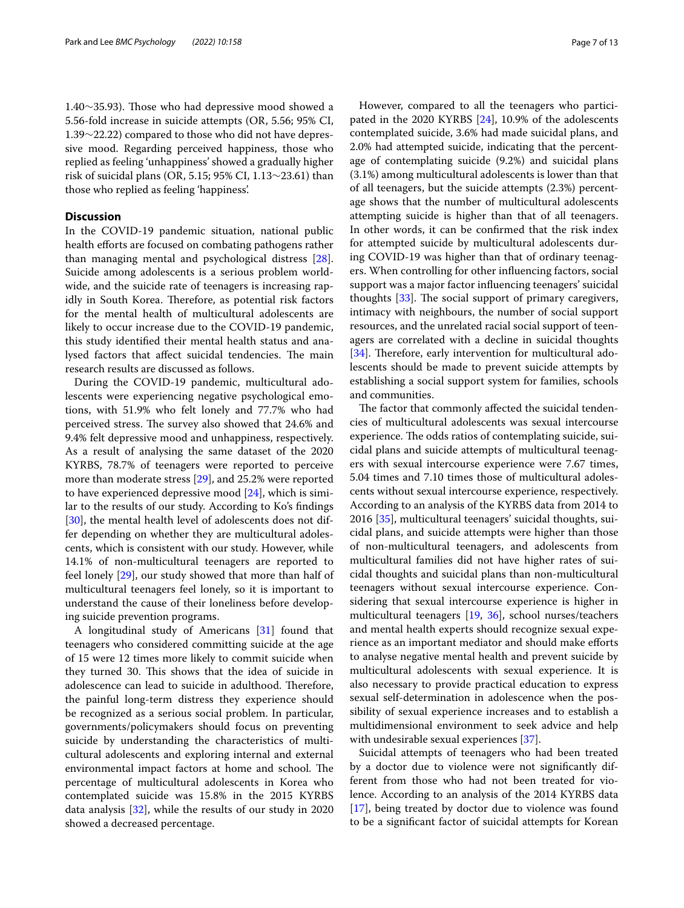1.40∼35.93). Tose who had depressive mood showed a 5.56-fold increase in suicide attempts (OR, 5.56; 95% CI, 1.39∼22.22) compared to those who did not have depressive mood. Regarding perceived happiness, those who replied as feeling 'unhappiness' showed a gradually higher risk of suicidal plans (OR, 5.15; 95% CI, 1.13∼23.61) than those who replied as feeling 'happiness'.

### **Discussion**

In the COVID-19 pandemic situation, national public health efforts are focused on combating pathogens rather than managing mental and psychological distress [\[28](#page-12-11)]. Suicide among adolescents is a serious problem worldwide, and the suicide rate of teenagers is increasing rapidly in South Korea. Therefore, as potential risk factors for the mental health of multicultural adolescents are likely to occur increase due to the COVID-19 pandemic, this study identifed their mental health status and analysed factors that affect suicidal tendencies. The main research results are discussed as follows.

During the COVID-19 pandemic, multicultural adolescents were experiencing negative psychological emotions, with 51.9% who felt lonely and 77.7% who had perceived stress. The survey also showed that 24.6% and 9.4% felt depressive mood and unhappiness, respectively. As a result of analysing the same dataset of the 2020 KYRBS, 78.7% of teenagers were reported to perceive more than moderate stress [\[29](#page-12-12)], and 25.2% were reported to have experienced depressive mood [[24](#page-12-7)], which is similar to the results of our study. According to Ko's fndings [[30\]](#page-12-13), the mental health level of adolescents does not differ depending on whether they are multicultural adolescents, which is consistent with our study. However, while 14.1% of non-multicultural teenagers are reported to feel lonely [[29\]](#page-12-12), our study showed that more than half of multicultural teenagers feel lonely, so it is important to understand the cause of their loneliness before developing suicide prevention programs.

A longitudinal study of Americans [\[31](#page-12-14)] found that teenagers who considered committing suicide at the age of 15 were 12 times more likely to commit suicide when they turned 30. This shows that the idea of suicide in adolescence can lead to suicide in adulthood. Therefore, the painful long-term distress they experience should be recognized as a serious social problem. In particular, governments/policymakers should focus on preventing suicide by understanding the characteristics of multicultural adolescents and exploring internal and external environmental impact factors at home and school. The percentage of multicultural adolescents in Korea who contemplated suicide was 15.8% in the 2015 KYRBS data analysis [[32](#page-12-15)], while the results of our study in 2020 showed a decreased percentage.

However, compared to all the teenagers who participated in the 2020 KYRBS [[24\]](#page-12-7), 10.9% of the adolescents contemplated suicide, 3.6% had made suicidal plans, and 2.0% had attempted suicide, indicating that the percentage of contemplating suicide (9.2%) and suicidal plans (3.1%) among multicultural adolescents is lower than that of all teenagers, but the suicide attempts (2.3%) percentage shows that the number of multicultural adolescents attempting suicide is higher than that of all teenagers. In other words, it can be confrmed that the risk index for attempted suicide by multicultural adolescents during COVID-19 was higher than that of ordinary teenagers. When controlling for other infuencing factors, social support was a major factor infuencing teenagers' suicidal thoughts  $[33]$  $[33]$  $[33]$ . The social support of primary caregivers, intimacy with neighbours, the number of social support resources, and the unrelated racial social support of teenagers are correlated with a decline in suicidal thoughts [[34\]](#page-12-17). Therefore, early intervention for multicultural adolescents should be made to prevent suicide attempts by establishing a social support system for families, schools and communities.

The factor that commonly affected the suicidal tendencies of multicultural adolescents was sexual intercourse experience. The odds ratios of contemplating suicide, suicidal plans and suicide attempts of multicultural teenagers with sexual intercourse experience were 7.67 times, 5.04 times and 7.10 times those of multicultural adolescents without sexual intercourse experience, respectively. According to an analysis of the KYRBS data from 2014 to 2016 [\[35](#page-12-18)], multicultural teenagers' suicidal thoughts, suicidal plans, and suicide attempts were higher than those of non-multicultural teenagers, and adolescents from multicultural families did not have higher rates of suicidal thoughts and suicidal plans than non-multicultural teenagers without sexual intercourse experience. Considering that sexual intercourse experience is higher in multicultural teenagers [\[19](#page-12-2), [36](#page-12-19)], school nurses/teachers and mental health experts should recognize sexual experience as an important mediator and should make eforts to analyse negative mental health and prevent suicide by multicultural adolescents with sexual experience. It is also necessary to provide practical education to express sexual self-determination in adolescence when the possibility of sexual experience increases and to establish a multidimensional environment to seek advice and help with undesirable sexual experiences [\[37\]](#page-12-20).

Suicidal attempts of teenagers who had been treated by a doctor due to violence were not signifcantly different from those who had not been treated for violence. According to an analysis of the 2014 KYRBS data [[17\]](#page-12-0), being treated by doctor due to violence was found to be a signifcant factor of suicidal attempts for Korean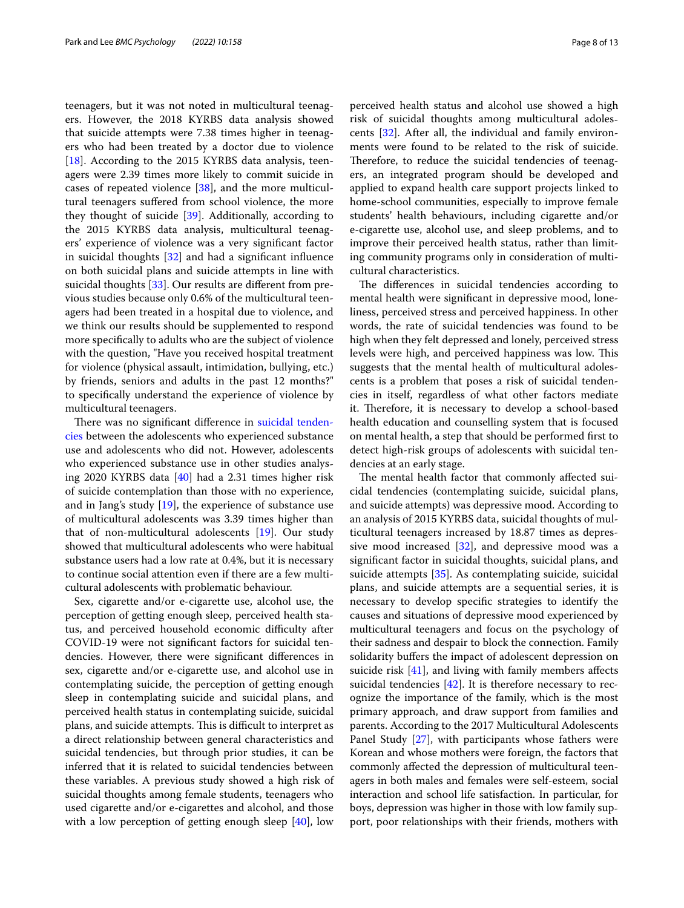teenagers, but it was not noted in multicultural teenagers. However, the 2018 KYRBS data analysis showed that suicide attempts were 7.38 times higher in teenagers who had been treated by a doctor due to violence [[18\]](#page-12-1). According to the 2015 KYRBS data analysis, teenagers were 2.39 times more likely to commit suicide in cases of repeated violence [\[38\]](#page-12-21), and the more multicultural teenagers sufered from school violence, the more they thought of suicide [[39](#page-12-22)]. Additionally, according to the 2015 KYRBS data analysis, multicultural teenagers' experience of violence was a very signifcant factor in suicidal thoughts [[32\]](#page-12-15) and had a signifcant infuence on both suicidal plans and suicide attempts in line with suicidal thoughts [\[33](#page-12-16)]. Our results are different from previous studies because only 0.6% of the multicultural teenagers had been treated in a hospital due to violence, and we think our results should be supplemented to respond more specifcally to adults who are the subject of violence with the question, "Have you received hospital treatment for violence (physical assault, intimidation, bullying, etc.) by friends, seniors and adults in the past 12 months?" to specifcally understand the experience of violence by multicultural teenagers.

There was no significant difference in [suicidal tenden](#page-3-0)[cies](#page-3-0) between the adolescents who experienced substance use and adolescents who did not. However, adolescents who experienced substance use in other studies analysing 2020 KYRBS data [[40](#page-12-23)] had a 2.31 times higher risk of suicide contemplation than those with no experience, and in Jang's study [[19\]](#page-12-2), the experience of substance use of multicultural adolescents was 3.39 times higher than that of non-multicultural adolescents [[19\]](#page-12-2). Our study showed that multicultural adolescents who were habitual substance users had a low rate at 0.4%, but it is necessary to continue social attention even if there are a few multicultural adolescents with problematic behaviour.

Sex, cigarette and/or e-cigarette use, alcohol use, the perception of getting enough sleep, perceived health status, and perceived household economic difficulty after COVID-19 were not signifcant factors for suicidal tendencies. However, there were signifcant diferences in sex, cigarette and/or e-cigarette use, and alcohol use in contemplating suicide, the perception of getting enough sleep in contemplating suicide and suicidal plans, and perceived health status in contemplating suicide, suicidal plans, and suicide attempts. This is difficult to interpret as a direct relationship between general characteristics and suicidal tendencies, but through prior studies, it can be inferred that it is related to suicidal tendencies between these variables. A previous study showed a high risk of suicidal thoughts among female students, teenagers who used cigarette and/or e-cigarettes and alcohol, and those with a low perception of getting enough sleep [\[40\]](#page-12-23), low perceived health status and alcohol use showed a high risk of suicidal thoughts among multicultural adolescents [\[32](#page-12-15)]. After all, the individual and family environments were found to be related to the risk of suicide. Therefore, to reduce the suicidal tendencies of teenagers, an integrated program should be developed and applied to expand health care support projects linked to home-school communities, especially to improve female students' health behaviours, including cigarette and/or e-cigarette use, alcohol use, and sleep problems, and to improve their perceived health status, rather than limiting community programs only in consideration of multicultural characteristics.

The differences in suicidal tendencies according to mental health were signifcant in depressive mood, loneliness, perceived stress and perceived happiness. In other words, the rate of suicidal tendencies was found to be high when they felt depressed and lonely, perceived stress levels were high, and perceived happiness was low. This suggests that the mental health of multicultural adolescents is a problem that poses a risk of suicidal tendencies in itself, regardless of what other factors mediate it. Therefore, it is necessary to develop a school-based health education and counselling system that is focused on mental health, a step that should be performed frst to detect high-risk groups of adolescents with suicidal tendencies at an early stage.

The mental health factor that commonly affected suicidal tendencies (contemplating suicide, suicidal plans, and suicide attempts) was depressive mood. According to an analysis of 2015 KYRBS data, suicidal thoughts of multicultural teenagers increased by 18.87 times as depressive mood increased  $[32]$  $[32]$ , and depressive mood was a signifcant factor in suicidal thoughts, suicidal plans, and suicide attempts [[35\]](#page-12-18). As contemplating suicide, suicidal plans, and suicide attempts are a sequential series, it is necessary to develop specifc strategies to identify the causes and situations of depressive mood experienced by multicultural teenagers and focus on the psychology of their sadness and despair to block the connection. Family solidarity buffers the impact of adolescent depression on suicide risk [\[41\]](#page-12-24), and living with family members affects suicidal tendencies [\[42](#page-12-25)]. It is therefore necessary to recognize the importance of the family, which is the most primary approach, and draw support from families and parents. According to the 2017 Multicultural Adolescents Panel Study [[27\]](#page-12-10), with participants whose fathers were Korean and whose mothers were foreign, the factors that commonly afected the depression of multicultural teenagers in both males and females were self-esteem, social interaction and school life satisfaction. In particular, for boys, depression was higher in those with low family support, poor relationships with their friends, mothers with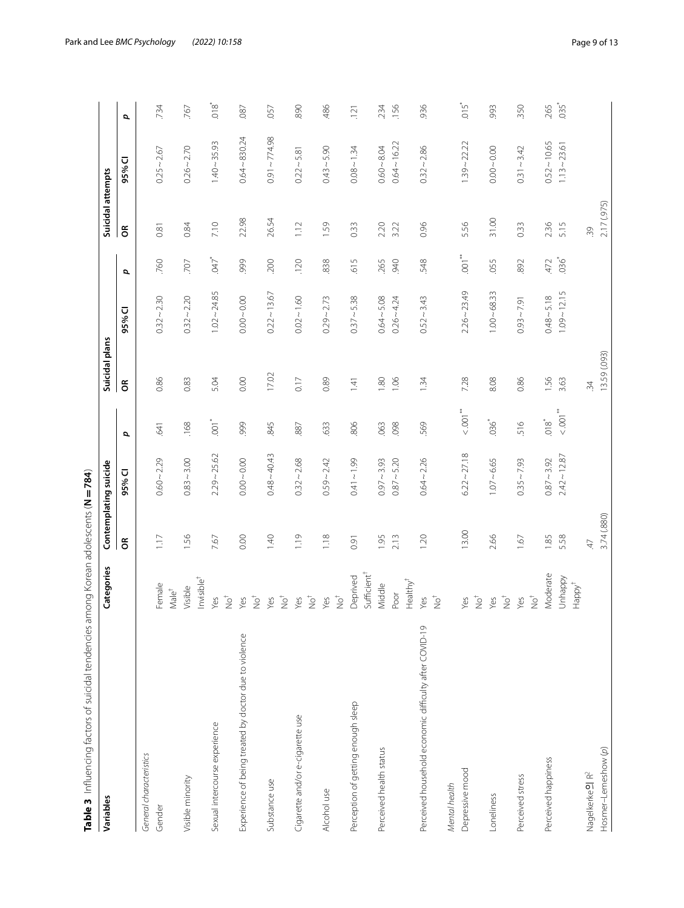<span id="page-8-0"></span>

| Table 3 Influencing factors of suicidal tendencies among Korean adolescents (N = 784)<br>Variables | Categories                                  |              | Contemplating suicide           |                                             | Suicidal plans |                                 |                           | Suicidal attempts |                                  |                           |
|----------------------------------------------------------------------------------------------------|---------------------------------------------|--------------|---------------------------------|---------------------------------------------|----------------|---------------------------------|---------------------------|-------------------|----------------------------------|---------------------------|
|                                                                                                    |                                             | $\epsilon$   | 95% CI                          | đ                                           | $\epsilon$     | 95% CI                          | đ                         | $\epsilon$        | 95% CI                           | p                         |
| General characteristics                                                                            |                                             |              |                                 |                                             |                |                                 |                           |                   |                                  |                           |
| Gender                                                                                             | Female<br>Male <sup>†</sup>                 | 1.17         | $0.60 - 2.29$                   | .641                                        | 0.86           | $0.32 - 2.30$                   | .760                      | 0.81              | $0.25 - 2.67$                    | .734                      |
| Visible minority                                                                                   | nvisible <sup>t</sup><br>Visible            | 1.56         | $0.83 - 3.00$                   | .168                                        | 0.83           | $0.32 - 2.20$                   | 707                       | 0.84              | $0.26 - 2.70$                    | .767                      |
| Sexual intercourse experience                                                                      | $\mathop{\mathrm{C}}\limits^+$<br>Yes       | 7.67         | $2.29 - 25.62$                  | $\overline{5}$                              | 5.04           | $1.02 - 24.85$                  | $7^{*}$                   | 7.10              | $1.40 - 35.93$                   | $rac{8}{10}$              |
| Experience of being treated by doctor due to violence                                              | $\sum_{i=1}^{n}$<br>Yes                     | 0.00         | $0.00 - 0.00$                   | 999                                         | 0.00           | $0.00 - 0.00$                   | 999                       | 22.98             | $0.64 - 830.24$                  | .087                      |
| Substance use                                                                                      | $\sum_{i=1}^{n}$<br>Yes                     | 1.40         | $0.48 - 40.43$                  | 845                                         | 17.02          | $0.22 - 13.67$                  | <b>200</b>                | 26.54             | $0.91 \sim 774.98$               | .057                      |
| Cigarette and/or e-cigarette use                                                                   | $\overline{\mathsf{Q}}^{\mathsf{t}}$<br>Yes | 1.19         | $0.32 - 2.68$                   | .887                                        | 0.17           | $0.02 - 1.60$                   | .120                      | 1.12              | $0.22 \sim 5.81$                 | 890                       |
| Alcohol use                                                                                        | $\overline{\mathsf{Q}}^{\dagger}$<br>Yes    | 1.18         | $0.59 - 2.42$                   | .633                                        | 0.89           | $0.29 - 2.73$                   | 838                       | 1.59              | $0.43 - 5.90$                    | .486                      |
| Perception of getting enough sleep                                                                 | Sufficient <sup>+</sup><br>Deprived         | 0.91         | $0.41 - 1.99$                   | 806                                         | 1.41           | $0.37 - 5.38$                   | 615                       | 0.33              | $0.08 - 1.34$                    | .121                      |
| Perceived health status                                                                            | Healthy <sup>†</sup><br>Middle<br>Poor      | 1.95<br>2.13 | $0.97 - 3.93$<br>$0.87 - 5.20$  | .063<br>098                                 | 1.80<br>1.06   | $0.64 - 5.08$<br>$0.26 - 4.24$  | .265<br>940               | 2.20<br>3.22      | $0.64 - 16.22$<br>$0.60 - 8.04$  | .156<br>234               |
| Perceived household economic difficulty after COVID-19                                             | $\sum_{i=1}^{n}$<br>Yes                     | 1.20         | $0.64 - 2.26$                   | 569                                         | 1.34           | $0.52 - 3.43$                   | 548                       | 0.96              | $0.32 - 2.86$                    | 936                       |
| Depressive mood<br>Mental health                                                                   | $\overline{\mathcal{Q}}^+$<br>Yes           | 13.00        | $6.22 \sim 27.18$               | $<$ 001 $^{\ast\ast}$                       | 7.28           | $2.26 - 23.49$                  | $\overline{001}^*$        | 5.56              | $1.39 - 22.22$                   | $\overline{0}15$          |
| Loneliness                                                                                         | $\sum_{i=1}^{n}$<br>Yes                     | 2.66         | $1.07 - 6.65$                   | $036^{*}$                                   | 8.08           | $1.00 - 68.33$                  | .055                      | 31.00             | $0.00 - 0.00$                    | .993                      |
| Perceived stress                                                                                   | $\rm \dot{P}^+$<br>Yes                      | 1.67         | $0.35 - 7.93$                   | 516                                         | 0.86           | $0.93 - 7.91$                   | 892                       | 0.33              | $0.31 - 3.42$                    | 350                       |
| Perceived happiness                                                                                | Moderate<br>Unhappy                         | 1.85<br>5.58 | $2.42 - 12.87$<br>$0.87 - 3.92$ | $<$ 001 $^{\ast\ast}$<br>$018$ <sup>*</sup> | 1.56<br>3.63   | $1.09 - 12.15$<br>$0.48 - 5.18$ | $036$ <sup>*</sup><br>472 | 2.36<br>5.15      | $0.52 - 10.65$<br>$1.13 - 23.61$ | $035$ <sup>*</sup><br>265 |
| Nagelkerke <sup>o</sup> l R <sup>2</sup>                                                           | Happy <sup>†</sup>                          | $47$         |                                 |                                             | 34             |                                 |                           | 39                |                                  |                           |
| Hosmer-Lemeshow (p)                                                                                |                                             | 3.74 (.880)  |                                 |                                             | 13.59 (.093)   |                                 |                           | 2.17 (.975)       |                                  |                           |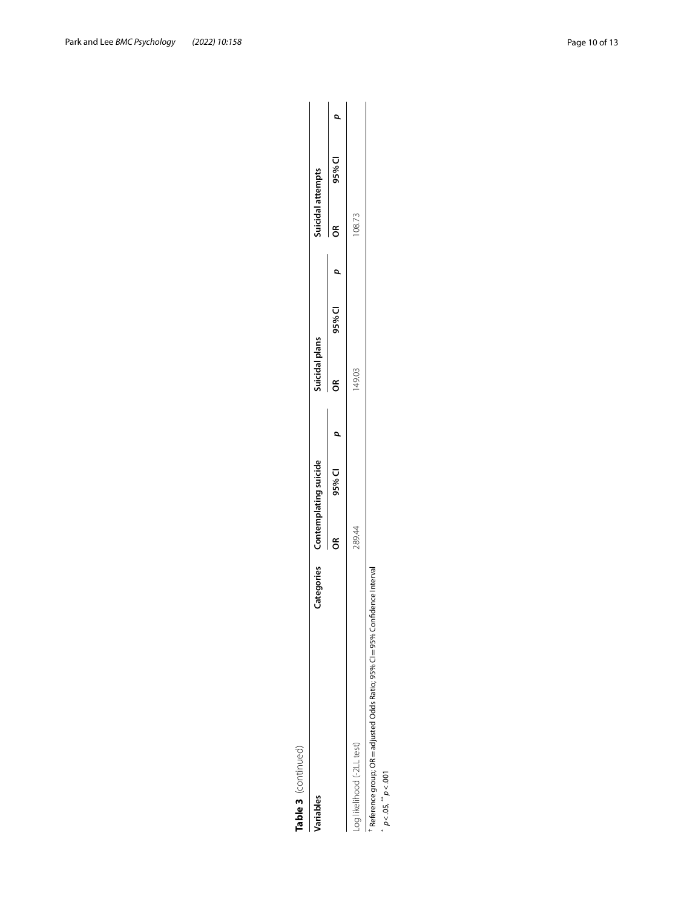Table 3 (continued)

| Table 3 (continued)                                                         |                                  |           |                |        |                   |        |  |
|-----------------------------------------------------------------------------|----------------------------------|-----------|----------------|--------|-------------------|--------|--|
| /ariables                                                                   | Categories Contemplating suicide |           | Suicidal plans |        | Suicidal attempts |        |  |
|                                                                             | క                                | $95\%$ Cl | $\approx$      | 95% CI | ž                 | 95% CI |  |
| Log likelihood (-2LL test)                                                  | 289.44                           |           | 149.03         |        | 108.73            |        |  |
| Reference group; OR = adjusted Odds Ratio; 95% CI = 95% Confidence Interval |                                  |           |                |        |                   |        |  |

\*  $p < .05$ , \*\*  $p < .001$ *p*<.05, \*\* *p*<.001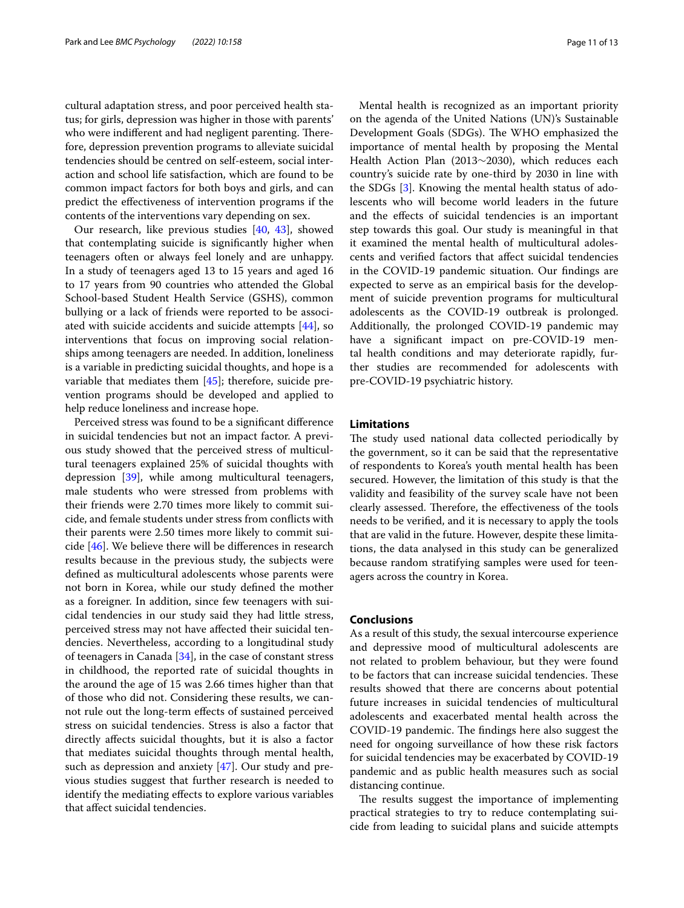cultural adaptation stress, and poor perceived health status; for girls, depression was higher in those with parents' who were indifferent and had negligent parenting. Therefore, depression prevention programs to alleviate suicidal tendencies should be centred on self-esteem, social interaction and school life satisfaction, which are found to be common impact factors for both boys and girls, and can predict the efectiveness of intervention programs if the contents of the interventions vary depending on sex.

Our research, like previous studies [[40,](#page-12-23) [43](#page-12-26)], showed that contemplating suicide is signifcantly higher when teenagers often or always feel lonely and are unhappy. In a study of teenagers aged 13 to 15 years and aged 16 to 17 years from 90 countries who attended the Global School-based Student Health Service (GSHS), common bullying or a lack of friends were reported to be associated with suicide accidents and suicide attempts [\[44](#page-12-27)], so interventions that focus on improving social relationships among teenagers are needed. In addition, loneliness is a variable in predicting suicidal thoughts, and hope is a variable that mediates them [[45\]](#page-12-28); therefore, suicide prevention programs should be developed and applied to help reduce loneliness and increase hope.

Perceived stress was found to be a signifcant diference in suicidal tendencies but not an impact factor. A previous study showed that the perceived stress of multicultural teenagers explained 25% of suicidal thoughts with depression [\[39](#page-12-22)], while among multicultural teenagers, male students who were stressed from problems with their friends were 2.70 times more likely to commit suicide, and female students under stress from conficts with their parents were 2.50 times more likely to commit suicide [\[46](#page-12-29)]. We believe there will be diferences in research results because in the previous study, the subjects were defned as multicultural adolescents whose parents were not born in Korea, while our study defned the mother as a foreigner. In addition, since few teenagers with suicidal tendencies in our study said they had little stress, perceived stress may not have afected their suicidal tendencies. Nevertheless, according to a longitudinal study of teenagers in Canada [[34\]](#page-12-17), in the case of constant stress in childhood, the reported rate of suicidal thoughts in the around the age of 15 was 2.66 times higher than that of those who did not. Considering these results, we cannot rule out the long-term efects of sustained perceived stress on suicidal tendencies. Stress is also a factor that directly afects suicidal thoughts, but it is also a factor that mediates suicidal thoughts through mental health, such as depression and anxiety [[47](#page-12-30)]. Our study and previous studies suggest that further research is needed to identify the mediating efects to explore various variables that afect suicidal tendencies.

Mental health is recognized as an important priority on the agenda of the United Nations (UN)'s Sustainable Development Goals (SDGs). The WHO emphasized the importance of mental health by proposing the Mental Health Action Plan (2013∼2030), which reduces each country's suicide rate by one-third by 2030 in line with the SDGs [\[3\]](#page-11-2). Knowing the mental health status of adolescents who will become world leaders in the future and the efects of suicidal tendencies is an important step towards this goal. Our study is meaningful in that it examined the mental health of multicultural adolescents and verifed factors that afect suicidal tendencies in the COVID-19 pandemic situation. Our fndings are expected to serve as an empirical basis for the development of suicide prevention programs for multicultural adolescents as the COVID-19 outbreak is prolonged. Additionally, the prolonged COVID-19 pandemic may have a signifcant impact on pre-COVID-19 mental health conditions and may deteriorate rapidly, further studies are recommended for adolescents with pre-COVID-19 psychiatric history.

### **Limitations**

The study used national data collected periodically by the government, so it can be said that the representative of respondents to Korea's youth mental health has been secured. However, the limitation of this study is that the validity and feasibility of the survey scale have not been clearly assessed. Therefore, the effectiveness of the tools needs to be verifed, and it is necessary to apply the tools that are valid in the future. However, despite these limitations, the data analysed in this study can be generalized because random stratifying samples were used for teenagers across the country in Korea.

### **Conclusions**

As a result of this study, the sexual intercourse experience and depressive mood of multicultural adolescents are not related to problem behaviour, but they were found to be factors that can increase suicidal tendencies. These results showed that there are concerns about potential future increases in suicidal tendencies of multicultural adolescents and exacerbated mental health across the COVID-19 pandemic. The findings here also suggest the need for ongoing surveillance of how these risk factors for suicidal tendencies may be exacerbated by COVID-19 pandemic and as public health measures such as social distancing continue.

The results suggest the importance of implementing practical strategies to try to reduce contemplating suicide from leading to suicidal plans and suicide attempts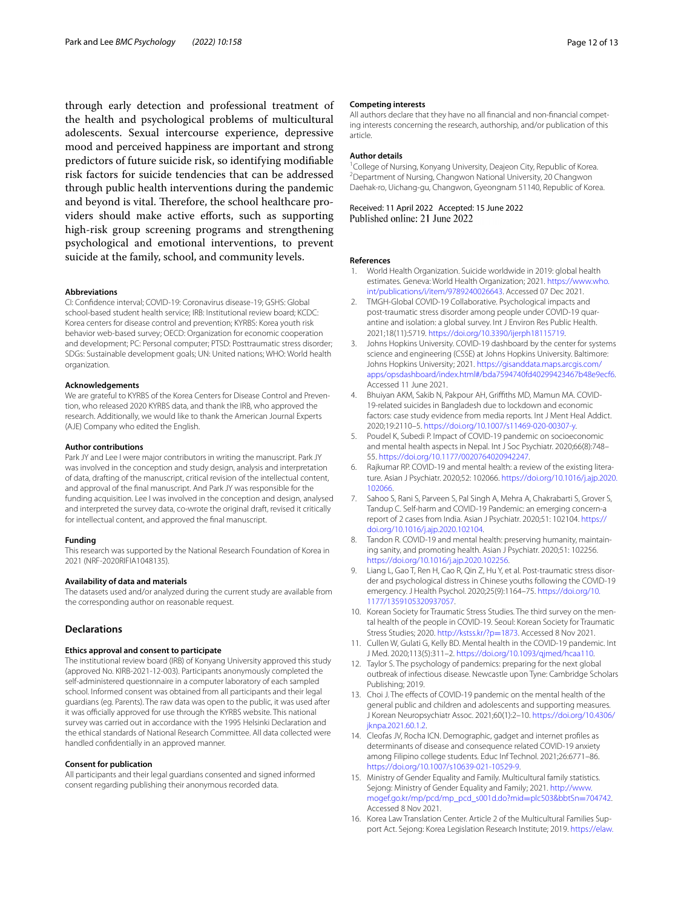through early detection and professional treatment of the health and psychological problems of multicultural adolescents. Sexual intercourse experience, depressive mood and perceived happiness are important and strong predictors of future suicide risk, so identifying modifable risk factors for suicide tendencies that can be addressed through public health interventions during the pandemic and beyond is vital. Therefore, the school healthcare providers should make active efforts, such as supporting high-risk group screening programs and strengthening psychological and emotional interventions, to prevent suicide at the family, school, and community levels.

#### **Abbreviations**

CI: Confdence interval; COVID-19: Coronavirus disease-19; GSHS: Global school-based student health service; IRB: Institutional review board; KCDC: Korea centers for disease control and prevention; KYRBS: Korea youth risk behavior web-based survey; OECD: Organization for economic cooperation and development; PC: Personal computer; PTSD: Posttraumatic stress disorder; SDGs: Sustainable development goals; UN: United nations; WHO: World health organization.

#### **Acknowledgements**

We are grateful to KYRBS of the Korea Centers for Disease Control and Prevention, who released 2020 KYRBS data, and thank the IRB, who approved the research. Additionally, we would like to thank the American Journal Experts (AJE) Company who edited the English.

#### **Author contributions**

Park JY and Lee I were major contributors in writing the manuscript. Park JY was involved in the conception and study design, analysis and interpretation of data, drafting of the manuscript, critical revision of the intellectual content, and approval of the fnal manuscript. And Park JY was responsible for the funding acquisition. Lee I was involved in the conception and design, analysed and interpreted the survey data, co-wrote the original draft, revised it critically for intellectual content, and approved the fnal manuscript.

#### **Funding**

This research was supported by the National Research Foundation of Korea in 2021 (NRF-2020RIFIA1048135).

### **Availability of data and materials**

The datasets used and/or analyzed during the current study are available from the corresponding author on reasonable request.

#### **Declarations**

#### **Ethics approval and consent to participate**

The institutional review board (IRB) of Konyang University approved this study (approved No. KIRB-2021-12-003). Participants anonymously completed the self-administered questionnaire in a computer laboratory of each sampled school. Informed consent was obtained from all participants and their legal guardians (eg. Parents). The raw data was open to the public, it was used after it was officially approved for use through the KYRBS website. This national survey was carried out in accordance with the 1995 Helsinki Declaration and the ethical standards of National Research Committee. All data collected were handled confdentially in an approved manner.

#### **Consent for publication**

All participants and their legal guardians consented and signed informed consent regarding publishing their anonymous recorded data.

#### **Competing interests**

All authors declare that they have no all financial and non-financial competing interests concerning the research, authorship, and/or publication of this article.

#### **Author details**

<sup>1</sup>College of Nursing, Konyang University, Deajeon City, Republic of Korea.<br><sup>2</sup> Department of Nursing, Changwon National University, 20 Changwon. <sup>2</sup> Department of Nursing, Changwon National University, 20 Changwon Daehak‑ro, Uichang‑gu, Changwon, Gyeongnam 51140, Republic of Korea.

# Received: 11 April 2022 Accepted: 15 June 2022<br>Published online: 21 June 2022

#### **References**

- <span id="page-11-0"></span>1. World Health Organization. Suicide worldwide in 2019: global health estimates. Geneva: World Health Organization; 2021. [https://www.who.](https://www.who.int/publications/i/item/9789240026643) [int/publications/i/item/9789240026643.](https://www.who.int/publications/i/item/9789240026643) Accessed 07 Dec 2021.
- <span id="page-11-1"></span>2. TMGH-Global COVID-19 Collaborative. Psychological impacts and post-traumatic stress disorder among people under COVID-19 quarantine and isolation: a global survey. Int J Environ Res Public Health. 2021;18(11):5719. [https://doi.org/10.3390/ijerph18115719.](https://doi.org/10.3390/ijerph18115719)
- <span id="page-11-2"></span>3. Johns Hopkins University. COVID-19 dashboard by the center for systems science and engineering (CSSE) at Johns Hopkins University. Baltimore: Johns Hopkins University; 2021. [https://gisanddata.maps.arcgis.com/](https://gisanddata.maps.arcgis.com/apps/opsdashboard/index.html#/bda7594740fd40299423467b48e9ecf6) [apps/opsdashboard/index.html#/bda7594740fd40299423467b48e9ecf6](https://gisanddata.maps.arcgis.com/apps/opsdashboard/index.html#/bda7594740fd40299423467b48e9ecf6). Accessed 11 June 2021.
- <span id="page-11-3"></span>4. Bhuiyan AKM, Sakib N, Pakpour AH, Grifths MD, Mamun MA. COVID-19-related suicides in Bangladesh due to lockdown and economic factors: case study evidence from media reports. Int J Ment Heal Addict. 2020;19:2110–5.<https://doi.org/10.1007/s11469-020-00307-y>.
- <span id="page-11-4"></span>5. Poudel K, Subedi P. Impact of COVID-19 pandemic on socioeconomic and mental health aspects in Nepal. Int J Soc Psychiatr. 2020;66(8):748– 55. <https://doi.org/10.1177/0020764020942247>.
- <span id="page-11-5"></span>6. Raikumar RP. COVID-19 and mental health: a review of the existing literature. Asian J Psychiatr. 2020;52: 102066. [https://doi.org/10.1016/j.ajp.2020.](https://doi.org/10.1016/j.ajp.2020.102066) [102066.](https://doi.org/10.1016/j.ajp.2020.102066)
- 7. Sahoo S, Rani S, Parveen S, Pal Singh A, Mehra A, Chakrabarti S, Grover S, Tandup C. Self-harm and COVID-19 Pandemic: an emerging concern-a report of 2 cases from India. Asian J Psychiatr. 2020;51: 102104. [https://](https://doi.org/10.1016/j.ajp.2020.102104) [doi.org/10.1016/j.ajp.2020.102104](https://doi.org/10.1016/j.ajp.2020.102104).
- <span id="page-11-6"></span>8. Tandon R. COVID-19 and mental health: preserving humanity, maintaining sanity, and promoting health. Asian J Psychiatr. 2020;51: 102256. [https://doi.org/10.1016/j.ajp.2020.102256.](https://doi.org/10.1016/j.ajp.2020.102256)
- <span id="page-11-7"></span>9. Liang L, Gao T, Ren H, Cao R, Qin Z, Hu Y, et al. Post-traumatic stress disorder and psychological distress in Chinese youths following the COVID-19 emergency. J Health Psychol. 2020;25(9):1164–75. [https://doi.org/10.](https://doi.org/10.1177/1359105320937057) [1177/1359105320937057.](https://doi.org/10.1177/1359105320937057)
- <span id="page-11-8"></span>10. Korean Society for Traumatic Stress Studies. The third survey on the mental health of the people in COVID-19. Seoul: Korean Society for Traumatic Stress Studies; 2020. [http://kstss.kr/?p](http://kstss.kr/?p=1873)=1873. Accessed 8 Nov 2021.
- <span id="page-11-9"></span>11. Cullen W, Gulati G, Kelly BD. Mental health in the COVID-19 pandemic. Int J Med. 2020;113(5):311–2. [https://doi.org/10.1093/qjmed/hcaa110.](https://doi.org/10.1093/qjmed/hcaa110)
- <span id="page-11-10"></span>12. Taylor S. The psychology of pandemics: preparing for the next global outbreak of infectious disease. Newcastle upon Tyne: Cambridge Scholars Publishing; 2019.
- <span id="page-11-11"></span>13. Choi J. The efects of COVID-19 pandemic on the mental health of the general public and children and adolescents and supporting measures. J Korean Neuropsychiatr Assoc. 2021;60(1):2–10. [https://doi.org/10.4306/](https://doi.org/10.4306/jknpa.2021.60.1.2) [jknpa.2021.60.1.2.](https://doi.org/10.4306/jknpa.2021.60.1.2)
- <span id="page-11-12"></span>14. Cleofas JV, Rocha ICN. Demographic, gadget and internet profles as determinants of disease and consequence related COVID-19 anxiety among Filipino college students. Educ Inf Technol. 2021;26:6771–86. <https://doi.org/10.1007/s10639-021-10529-9>.
- <span id="page-11-13"></span>15. Ministry of Gender Equality and Family. Multicultural family statistics. Sejong: Ministry of Gender Equality and Family; 2021. [http://www.](http://www.mogef.go.kr/mp/pcd/mp_pcd_s001d.do?mid=plc503&bbtSn=704742) [mogef.go.kr/mp/pcd/mp\\_pcd\\_s001d.do?mid](http://www.mogef.go.kr/mp/pcd/mp_pcd_s001d.do?mid=plc503&bbtSn=704742)=plc503&bbtSn=704742. Accessed 8 Nov 2021.
- <span id="page-11-14"></span>16. Korea Law Translation Center. Article 2 of the Multicultural Families Support Act. Sejong: Korea Legislation Research Institute; 2019. [https://elaw.](https://elaw.klri.re.kr/kor_service/lawView.do?hseq=54655&lang=ENG)